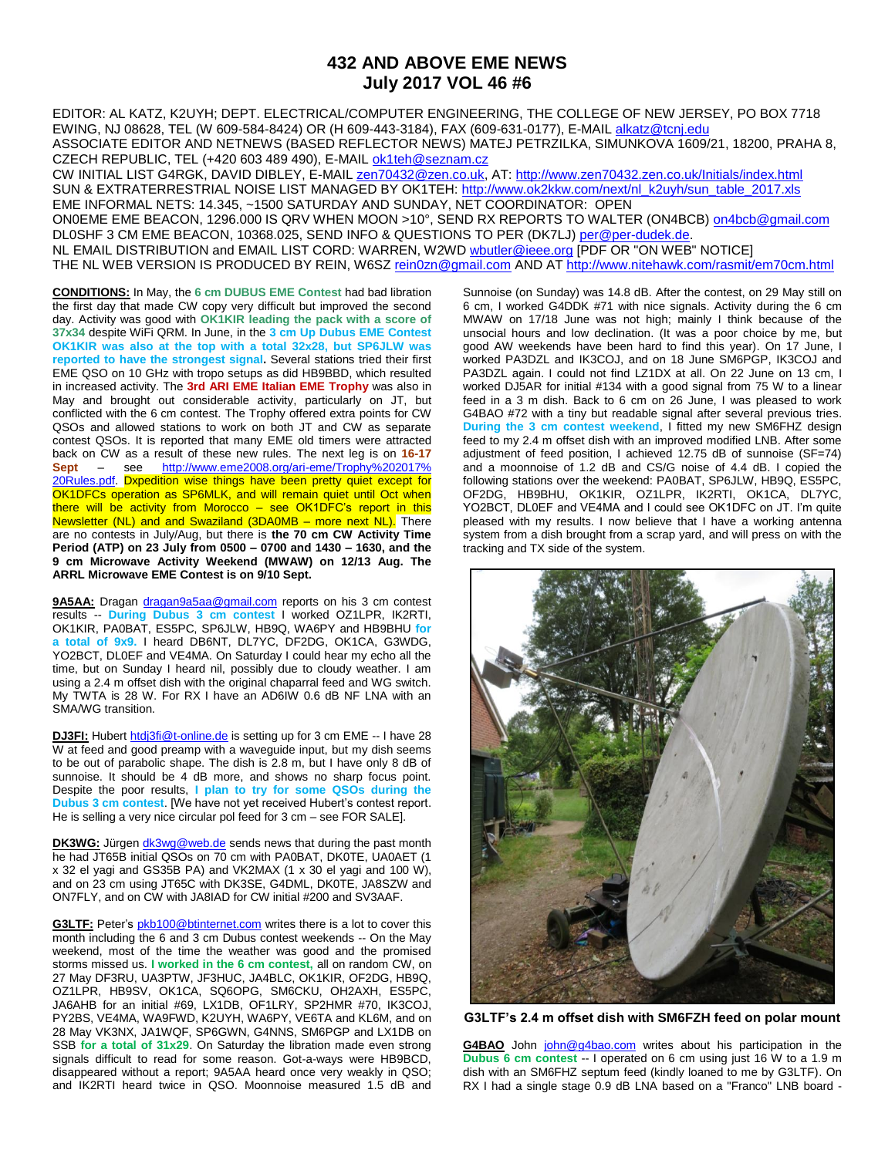## **432 AND ABOVE EME NEWS July 2017 VOL 46 #6**

EDITOR: AL KATZ, K2UYH; DEPT. ELECTRICAL/COMPUTER ENGINEERING, THE COLLEGE OF NEW JERSEY, PO BOX 7718 EWING, NJ 08628, TEL (W 609-584-8424) OR (H 609-443-3184), FAX (609-631-0177), E-MAIL [alkatz@tcnj.edu](mailto:alkatz@tcnj.edu) ASSOCIATE EDITOR AND NETNEWS (BASED REFLECTOR NEWS) MATEJ PETRZILKA, SIMUNKOVA 1609/21, 18200, PRAHA 8, CZECH REPUBLIC, TEL (+420 603 489 490), E-MAIL [ok1teh@seznam.cz](mailto:ok1teh@seznam.cz)

CW INITIAL LIST G4RGK, DAVID DIBLEY, E-MAIL [zen70432@zen.co.uk,](mailto:zen70432@zen.co.uk) AT[: http://www.zen70432.zen.co.uk/Initials/index.html](http://www.zen70432.zen.co.uk/Initials/index.html) SUN & EXTRATERRESTRIAL NOISE LIST MANAGED BY OK1TEH: [http://www.ok2kkw.com/next/nl\\_k2uyh/sun\\_table\\_2017.xls](http://www.ok2kkw.com/next/nl_k2uyh/sun_table_2017.xls) EME INFORMAL NETS: 14.345, ~1500 SATURDAY AND SUNDAY, NET COORDINATOR: OPEN ON0EME EME BEACON, 1296.000 IS QRV WHEN MOON >10°, SEND RX REPORTS TO WALTER (ON4BCB) [on4bcb@gmail.com](mailto:on4bcb@gmail.com)  DL0SHF 3 CM EME BEACON, 10368.025, SEND INFO & QUESTIONS TO PER (DK7LJ[\) per@per-dudek.de.](mailto:per@per-dudek.de) NL EMAIL DISTRIBUTION and EMAIL LIST CORD: WARREN, W2W[D wbutler@ieee.org](mailto:wbutler@ieee.org) [PDF OR "ON WEB" NOTICE] THE NL WEB VERSION IS PRODUCED BY REIN, W6SZ [rein0zn@gmail.com](mailto:rein0zn@gmail.com) AND A[T http://www.nitehawk.com/rasmit/em70cm.html](http://www.nitehawk.com/rasmit/em70cm.html)

**CONDITIONS:** In May, the **6 cm DUBUS EME Contest** had bad libration the first day that made CW copy very difficult but improved the second day. Activity was good with **OK1KIR leading the pack with a score of 37x34** despite WiFi QRM. In June, in the **3 cm Up Dubus EME Contest OK1KIR was also at the top with a total 32x28, but SP6JLW was reported to have the strongest signal.** Several stations tried their first EME QSO on 10 GHz with tropo setups as did HB9BBD, which resulted in increased activity. The **3rd ARI EME Italian EME Trophy** was also in May and brought out considerable activity, particularly on JT, but conflicted with the 6 cm contest. The Trophy offered extra points for CW QSOs and allowed stations to work on both JT and CW as separate contest QSOs. It is reported that many EME old timers were attracted back on CW as a result of these new rules. The next leg is on **16-17 Sept** – see [http://www.eme2008.org/ari-eme/Trophy%202017%](http://www.eme2008.org/ari-eme/Trophy%202017%25%2020Rules.pdf)  [20Rules.pdf.](http://www.eme2008.org/ari-eme/Trophy%202017%25%2020Rules.pdf) Dxpedition wise things have been pretty quiet except for OK1DFCs operation as SP6MLK, and will remain quiet until Oct when there will be activity from Morocco – see OK1DFC's report in this Newsletter (NL) and and Swaziland (3DA0MB – more next NL). There are no contests in July/Aug, but there is **the 70 cm CW Activity Time Period (ATP) on 23 July from 0500 – 0700 and 1430 – 1630, and the 9 cm Microwave Activity Weekend (MWAW) on 12/13 Aug. The ARRL Microwave EME Contest is on 9/10 Sept.**

9A5AA: Dragan [dragan9a5aa@gmail.com](mailto:dragan9a5aa@gmail.com) reports on his 3 cm contest results -- **During Dubus 3 cm contest** I worked OZ1LPR, IK2RTI, OK1KIR, PA0BAT, ES5PC, SP6JLW, HB9Q, WA6PY and HB9BHU **for a total of 9x9.** I heard DB6NT, DL7YC, DF2DG, OK1CA, G3WDG, YO2BCT, DL0EF and VE4MA. On Saturday I could hear my echo all the time, but on Sunday I heard nil, possibly due to cloudy weather. I am using a 2.4 m offset dish with the original chaparral feed and WG switch. My TWTA is 28 W. For RX I have an AD6IW 0.6 dB NF LNA with an SMA/WG transition.

**DJ3FI:** Hubert [htdj3fi@t-online.de](mailto:htdj3fi@t-online.de) is setting up for 3 cm EME -- I have 28 W at feed and good preamp with a waveguide input, but my dish seems to be out of parabolic shape. The dish is 2.8 m, but I have only 8 dB of sunnoise. It should be 4 dB more, and shows no sharp focus point. Despite the poor results, **I plan to try for some QSOs during the Dubus 3 cm contest**. [We have not yet received Hubert's contest report. He is selling a very nice circular pol feed for 3 cm – see FOR SALE].

**DK3WG:** Jürgen **[dk3wg@web.de](mailto:dk3wg@web.de)** sends news that during the past month he had JT65B initial QSOs on 70 cm with PA0BAT, DK0TE, UA0AET (1 x 32 el yagi and GS35B PA) and VK2MAX (1 x 30 el yagi and 100 W), and on 23 cm using JT65C with DK3SE, G4DML, DK0TE, JA8SZW and ON7FLY, and on CW with JA8IAD for CW initial #200 and SV3AAF.

**G3LTF:** Peter's **[pkb100@btinternet.com](mailto:pkb100@btinternet.com)** writes there is a lot to cover this month including the 6 and 3 cm Dubus contest weekends -- On the May weekend, most of the time the weather was good and the promised storms missed us. **I worked in the 6 cm contest,** all on random CW, on 27 May DF3RU, UA3PTW, JF3HUC, JA4BLC, OK1KIR, OF2DG, HB9Q, OZ1LPR, HB9SV, OK1CA, SQ6OPG, SM6CKU, OH2AXH, ES5PC, JA6AHB for an initial #69, LX1DB, OF1LRY, SP2HMR #70, IK3COJ, PY2BS, VE4MA, WA9FWD, K2UYH, WA6PY, VE6TA and KL6M, and on 28 May VK3NX, JA1WQF, SP6GWN, G4NNS, SM6PGP and LX1DB on SSB **for a total of 31x29**. On Saturday the libration made even strong signals difficult to read for some reason. Got-a-ways were HB9BCD, disappeared without a report; 9A5AA heard once very weakly in QSO; and IK2RTI heard twice in QSO. Moonnoise measured 1.5 dB and

Sunnoise (on Sunday) was 14.8 dB. After the contest, on 29 May still on 6 cm, I worked G4DDK #71 with nice signals. Activity during the 6 cm MWAW on 17/18 June was not high; mainly I think because of the unsocial hours and low declination. (It was a poor choice by me, but good AW weekends have been hard to find this year). On 17 June, I worked PA3DZL and IK3COJ, and on 18 June SM6PGP, IK3COJ and PA3DZL again. I could not find LZ1DX at all. On 22 June on 13 cm, I worked DJ5AR for initial #134 with a good signal from 75 W to a linear feed in a 3 m dish. Back to 6 cm on 26 June, I was pleased to work G4BAO #72 with a tiny but readable signal after several previous tries. **During the 3 cm contest weekend**, I fitted my new SM6FHZ design feed to my 2.4 m offset dish with an improved modified LNB. After some adjustment of feed position, I achieved 12.75 dB of sunnoise (SF=74) and a moonnoise of 1.2 dB and CS/G noise of 4.4 dB. I copied the following stations over the weekend: PA0BAT, SP6JLW, HB9Q, ES5PC, OF2DG, HB9BHU, OK1KIR, OZ1LPR, IK2RTI, OK1CA, DL7YC, YO2BCT, DL0EF and VE4MA and I could see OK1DFC on JT. I'm quite pleased with my results. I now believe that I have a working antenna system from a dish brought from a scrap yard, and will press on with the tracking and TX side of the system.



**G3LTF's 2.4 m offset dish with SM6FZH feed on polar mount**

G4BAO John [john@g4bao.com](mailto:john@g4bao.com) writes about his participation in the **Dubus 6 cm contest** - I operated on 6 cm using just 16 W to a 1.9 m dish with an SM6FHZ septum feed (kindly loaned to me by G3LTF). On RX I had a single stage 0.9 dB LNA based on a "Franco" LNB board -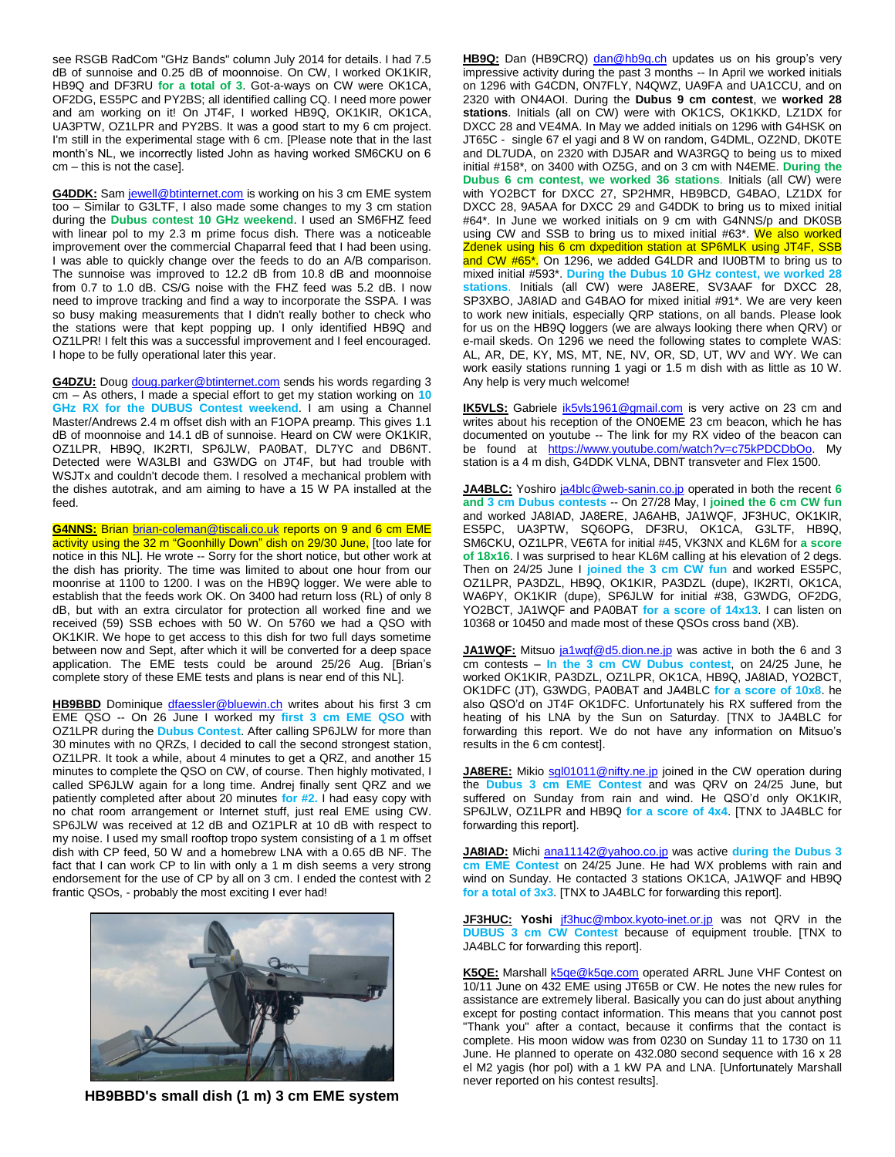see RSGB RadCom "GHz Bands" column July 2014 for details. I had 7.5 dB of sunnoise and 0.25 dB of moonnoise. On CW, I worked OK1KIR, HB9Q and DF3RU **for a total of 3**. Got-a-ways on CW were OK1CA, OF2DG, ES5PC and PY2BS; all identified calling CQ. I need more power and am working on it! On JT4F, I worked HB9Q, OK1KIR, OK1CA, UA3PTW, OZ1LPR and PY2BS. It was a good start to my 6 cm project. I'm still in the experimental stage with 6 cm. [Please note that in the last month's NL, we incorrectly listed John as having worked SM6CKU on 6 cm – this is not the case].

**G4DDK:** Sa[m jewell@btinternet.com](mailto:jewell@btinternet.com) is working on his 3 cm EME system too – Similar to G3LTF, I also made some changes to my 3 cm station during the **Dubus contest 10 GHz weekend**. I used an SM6FHZ feed with linear pol to my 2.3 m prime focus dish. There was a noticeable improvement over the commercial Chaparral feed that I had been using. I was able to quickly change over the feeds to do an A/B comparison. The sunnoise was improved to 12.2 dB from 10.8 dB and moonnoise from 0.7 to 1.0 dB. CS/G noise with the FHZ feed was 5.2 dB. I now need to improve tracking and find a way to incorporate the SSPA. I was so busy making measurements that I didn't really bother to check who the stations were that kept popping up. I only identified HB9Q and OZ1LPR! I felt this was a successful improvement and I feel encouraged. I hope to be fully operational later this year.

**G4DZU:** Doug [doug.parker@btinternet.com](mailto:doug.parker@btinternet.com) sends his words regarding 3 cm – As others, I made a special effort to get my station working on **10 GHz RX for the DUBUS Contest weekend**. I am using a Channel Master/Andrews 2.4 m offset dish with an F1OPA preamp. This gives 1.1 dB of moonnoise and 14.1 dB of sunnoise. Heard on CW were OK1KIR, OZ1LPR, HB9Q, IK2RTI, SP6JLW, PA0BAT, DL7YC and DB6NT. Detected were WA3LBI and G3WDG on JT4F, but had trouble with WSJTx and couldn't decode them. I resolved a mechanical problem with the dishes autotrak, and am aiming to have a 15 W PA installed at the feed.

**G4NNS:** Bria[n brian-coleman@tiscali.co.uk](mailto:brian-coleman@tiscali.co.uk) reports on 9 and 6 cm EME activity using the 32 m "Goonhilly Down" dish on 29/30 June, [too late for notice in this NL]. He wrote -- Sorry for the short notice, but other work at the dish has priority. The time was limited to about one hour from our moonrise at 1100 to 1200. I was on the HB9Q logger. We were able to establish that the feeds work OK. On 3400 had return loss (RL) of only 8 dB, but with an extra circulator for protection all worked fine and we received (59) SSB echoes with 50 W. On 5760 we had a QSO with OK1KIR. We hope to get access to this dish for two full days sometime between now and Sept, after which it will be converted for a deep space application. The EME tests could be around 25/26 Aug. [Brian's complete story of these EME tests and plans is near end of this NL].

**HB9BBD** Dominique *dfaessler@bluewin.ch* writes about his first 3 cm EME QSO -- On 26 June I worked my **first 3 cm EME QSO** with OZ1LPR during the **Dubus Contest**. After calling SP6JLW for more than 30 minutes with no QRZs, I decided to call the second strongest station, OZ1LPR. It took a while, about 4 minutes to get a QRZ, and another 15 minutes to complete the QSO on CW, of course. Then highly motivated, I called SP6JLW again for a long time. Andrej finally sent QRZ and we patiently completed after about 20 minutes **for #2.** I had easy copy with no chat room arrangement or Internet stuff, just real EME using CW. SP6JLW was received at 12 dB and OZ1PLR at 10 dB with respect to my noise. I used my small rooftop tropo system consisting of a 1 m offset dish with CP feed, 50 W and a homebrew LNA with a 0.65 dB NF. The fact that I can work CP to lin with only a 1 m dish seems a very strong endorsement for the use of CP by all on 3 cm. I ended the contest with 2 frantic QSOs, - probably the most exciting I ever had!



**HB9BBD's small dish (1 m) 3 cm EME system**

HB9Q: Dan (HB9CRQ) [dan@hb9q.ch](mailto:dan@hb9q.ch) updates us on his group's very impressive activity during the past 3 months -- In April we worked initials on 1296 with G4CDN, ON7FLY, N4QWZ, UA9FA and UA1CCU, and on 2320 with ON4AOI. During the **Dubus 9 cm contest**, we **worked 28 stations**. Initials (all on CW) were with OK1CS, OK1KKD, LZ1DX for DXCC 28 and VE4MA. In May we added initials on 1296 with G4HSK on JT65C - single 67 el yagi and 8 W on random, G4DML, OZ2ND, DK0TE and DL7UDA, on 2320 with DJ5AR and WA3RGQ to being us to mixed initial #158\*, on 3400 with OZ5G, and on 3 cm with N4EME. **During the Dubus 6 cm contest, we worked 36 stations**. Initials (all CW) were with YO2BCT for DXCC 27, SP2HMR, HB9BCD, G4BAO, LZ1DX for DXCC 28, 9A5AA for DXCC 29 and G4DDK to bring us to mixed initial #64\*. In June we worked initials on 9 cm with G4NNS/p and DK0SB using CW and SSB to bring us to mixed initial #63\*. We also worked Zdenek using his 6 cm dxpedition station at SP6MLK using JT4F, SSB and CW #65\*. On 1296, we added G4LDR and IU0BTM to bring us to mixed initial #593\*. **During the Dubus 10 GHz contest, we worked 28 stations**. Initials (all CW) were JA8ERE, SV3AAF for DXCC 28, SP3XBO, JA8IAD and G4BAO for mixed initial #91\*. We are very keen to work new initials, especially QRP stations, on all bands. Please look for us on the HB9Q loggers (we are always looking there when QRV) or e-mail skeds. On 1296 we need the following states to complete WAS: AL, AR, DE, KY, MS, MT, NE, NV, OR, SD, UT, WV and WY. We can work easily stations running 1 yagi or 1.5 m dish with as little as 10 W. Any help is very much welcome!

**IK5VLS:** Gabriele *[ik5vls1961@gmail.com](mailto:ik5vls1961@gmail.com)* is very active on 23 cm and writes about his reception of the ON0EME 23 cm beacon, which he has documented on youtube -- The link for my RX video of the beacon can be found at [https://www.youtube.com/watch?v=c75kPDCDbOo.](https://www.youtube.com/watch?v=c75kPDCDbOo) My station is a 4 m dish, G4DDK VLNA, DBNT transveter and Flex 1500.

**JA4BLC:** Yoshiro [ja4blc@web-sanin.co.jp](mailto:ja4blc@web-sanin.co.jp) operated in both the recent **6 and 3 cm Dubus contests** -- On 27/28 May, I **joined the 6 cm CW fun** and worked JA8IAD, JA8ERE, JA6AHB, JA1WQF, JF3HUC, OK1KIR, ES5PC, UA3PTW, SQ6OPG, DF3RU, OK1CA, G3LTF, HB9Q, SM6CKU, OZ1LPR, VE6TA for initial #45, VK3NX and KL6M for **a score of 18x16**. I was surprised to hear KL6M calling at his elevation of 2 degs. Then on 24/25 June I **joined the 3 cm CW fun** and worked ES5PC, OZ1LPR, PA3DZL, HB9Q, OK1KIR, PA3DZL (dupe), IK2RTI, OK1CA, WA6PY, OK1KIR (dupe), SP6JLW for initial #38, G3WDG, OF2DG, YO2BCT, JA1WQF and PA0BAT **for a score of 14x13**. I can listen on 10368 or 10450 and made most of these QSOs cross band (XB).

JA1WQF: Mitsuo [ja1wqf@d5.dion.ne.jp](mailto:ja1wqf@d5.dion.ne.jp) was active in both the 6 and 3 cm contests – **In the 3 cm CW Dubus contest**, on 24/25 June, he worked OK1KIR, PA3DZL, OZ1LPR, OK1CA, HB9Q, JA8IAD, YO2BCT, OK1DFC (JT), G3WDG, PA0BAT and JA4BLC **for a score of 10x8**. he also QSO'd on JT4F OK1DFC. Unfortunately his RX suffered from the heating of his LNA by the Sun on Saturday. [TNX to JA4BLC for forwarding this report. We do not have any information on Mitsuo's results in the 6 cm contest].

JA8ERE: Mikio [sgl01011@nifty.ne.jp](mailto:sgl01011@nifty.ne.jp) joined in the CW operation during the **Dubus 3 cm EME Contest** and was QRV on 24/25 June, but suffered on Sunday from rain and wind. He QSO'd only OK1KIR, SP6JLW, OZ1LPR and HB9Q **for a score of 4x4**. [TNX to JA4BLC for forwarding this report].

**JA8IAD:** Michi [ana11142@yahoo.co.jp](mailto:ana11142@yahoo.co.jp) was active **during the Dubus 3 cm EME Contest** on 24/25 June. He had WX problems with rain and wind on Sunday. He contacted 3 stations OK1CA, JA1WQF and HB9Q **for a total of 3x3**. [TNX to JA4BLC for forwarding this report].

**JF3HUC: Yoshi** [jf3huc@mbox.kyoto-inet.or.jp](mailto:jf3huc@mbox.kyoto-inet.or.jp) was not QRV in the **DUBUS 3 cm CW Contest** because of equipment trouble. [TNX to JA4BLC for forwarding this report].

K5QE: Marshall **k5qe@k5qe.com** operated ARRL June VHF Contest on 10/11 June on 432 EME using JT65B or CW. He notes the new rules for assistance are extremely liberal. Basically you can do just about anything except for posting contact information. This means that you cannot post "Thank you" after a contact, because it confirms that the contact is complete. His moon widow was from 0230 on Sunday 11 to 1730 on 11 June. He planned to operate on 432.080 second sequence with 16 x 28 el M2 yagis (hor pol) with a 1 kW PA and LNA. [Unfortunately Marshall never reported on his contest results].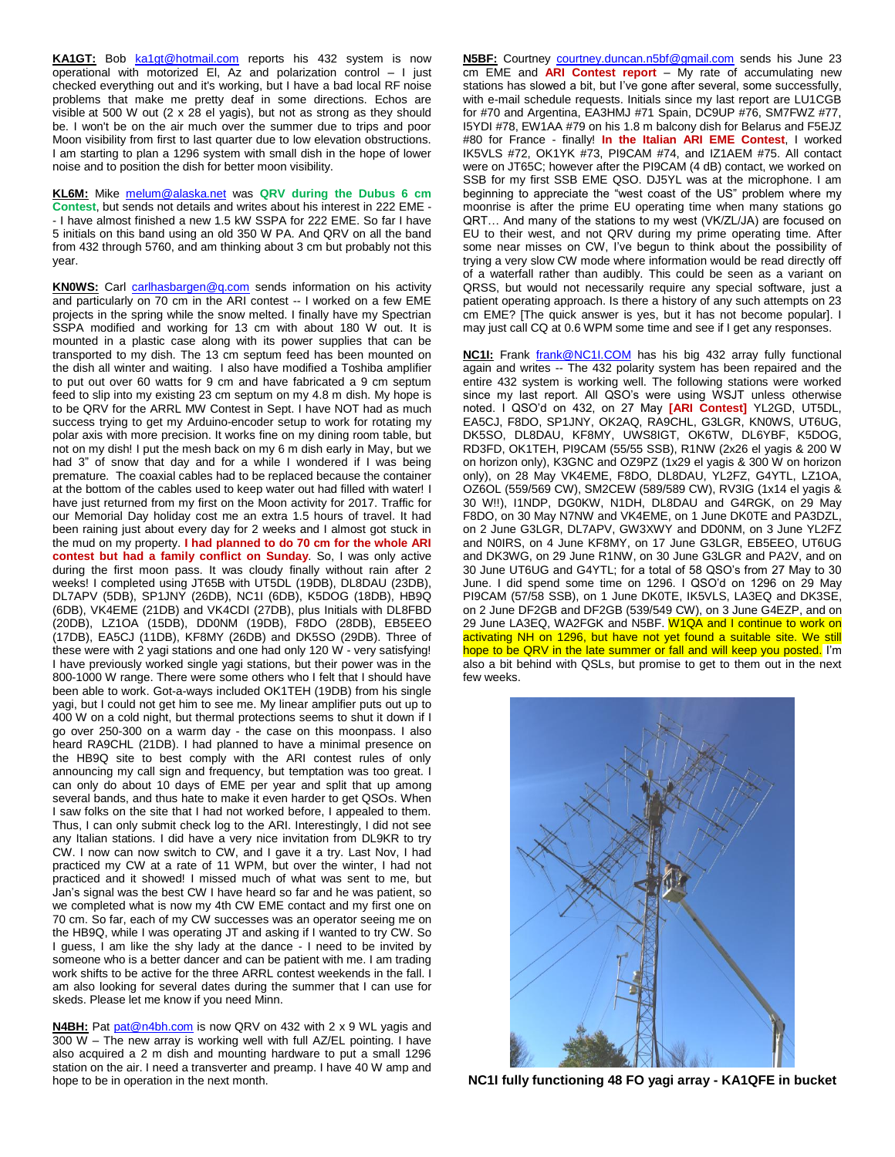KA1GT: Bob [ka1gt@hotmail.com](mailto:ka1gt@hotmail.com) reports his 432 system is now operational with motorized El, Az and polarization control – I just checked everything out and it's working, but I have a bad local RF noise problems that make me pretty deaf in some directions. Echos are visible at 500 W out (2 x 28 el yagis), but not as strong as they should be. I won't be on the air much over the summer due to trips and poor Moon visibility from first to last quarter due to low elevation obstructions. I am starting to plan a 1296 system with small dish in the hope of lower noise and to position the dish for better moon visibility.

**KL6M:** Mike [melum@alaska.net](mailto:melum@alaska.net) was **QRV during the Dubus 6 cm Contest**, but sends not details and writes about his interest in 222 EME - - I have almost finished a new 1.5 kW SSPA for 222 EME. So far I have 5 initials on this band using an old 350 W PA. And QRV on all the band from 432 through 5760, and am thinking about 3 cm but probably not this year.

KNOWS: Carl [carlhasbargen@q.com](mailto:carlhasbargen@q.com) sends information on his activity and particularly on 70 cm in the ARI contest -- I worked on a few EME projects in the spring while the snow melted. I finally have my Spectrian SSPA modified and working for 13 cm with about 180 W out. It is mounted in a plastic case along with its power supplies that can be transported to my dish. The 13 cm septum feed has been mounted on the dish all winter and waiting. I also have modified a Toshiba amplifier to put out over 60 watts for 9 cm and have fabricated a 9 cm septum feed to slip into my existing 23 cm septum on my 4.8 m dish. My hope is to be QRV for the ARRL MW Contest in Sept. I have NOT had as much success trying to get my Arduino-encoder setup to work for rotating my polar axis with more precision. It works fine on my dining room table, but not on my dish! I put the mesh back on my 6 m dish early in May, but we had 3" of snow that day and for a while I wondered if I was being premature. The coaxial cables had to be replaced because the container at the bottom of the cables used to keep water out had filled with water! I have just returned from my first on the Moon activity for 2017. Traffic for our Memorial Day holiday cost me an extra 1.5 hours of travel. It had been raining just about every day for 2 weeks and I almost got stuck in the mud on my property. **I had planned to do 70 cm for the whole ARI contest but had a family conflict on Sunday**. So, I was only active during the first moon pass. It was cloudy finally without rain after 2 weeks! I completed using JT65B with UT5DL (19DB), DL8DAU (23DB), DL7APV (5DB), SP1JNY (26DB), NC1I (6DB), K5DOG (18DB), HB9Q (6DB), VK4EME (21DB) and VK4CDI (27DB), plus Initials with DL8FBD (20DB), LZ1OA (15DB), DD0NM (19DB), F8DO (28DB), EB5EEO (17DB), EA5CJ (11DB), KF8MY (26DB) and DK5SO (29DB). Three of these were with 2 yagi stations and one had only 120 W - very satisfying! I have previously worked single yagi stations, but their power was in the 800-1000 W range. There were some others who I felt that I should have been able to work. Got-a-ways included OK1TEH (19DB) from his single yagi, but I could not get him to see me. My linear amplifier puts out up to 400 W on a cold night, but thermal protections seems to shut it down if I go over 250-300 on a warm day - the case on this moonpass. I also heard RA9CHL (21DB). I had planned to have a minimal presence on the HB9Q site to best comply with the ARI contest rules of only announcing my call sign and frequency, but temptation was too great. I can only do about 10 days of EME per year and split that up among several bands, and thus hate to make it even harder to get QSOs. When I saw folks on the site that I had not worked before, I appealed to them. Thus, I can only submit check log to the ARI. Interestingly, I did not see any Italian stations. I did have a very nice invitation from DL9KR to try CW. I now can now switch to CW, and I gave it a try. Last Nov, I had practiced my CW at a rate of 11 WPM, but over the winter, I had not practiced and it showed! I missed much of what was sent to me, but Jan's signal was the best CW I have heard so far and he was patient, so we completed what is now my 4th CW EME contact and my first one on 70 cm. So far, each of my CW successes was an operator seeing me on the HB9Q, while I was operating JT and asking if I wanted to try CW. So I guess, I am like the shy lady at the dance - I need to be invited by someone who is a better dancer and can be patient with me. I am trading work shifts to be active for the three ARRL contest weekends in the fall. I am also looking for several dates during the summer that I can use for skeds. Please let me know if you need Minn.

**N4BH:** Pat [pat@n4bh.com](mailto:pat@n4bh.com) is now QRV on 432 with 2 x 9 WL yagis and 300 W – The new array is working well with full AZ/EL pointing. I have also acquired a 2 m dish and mounting hardware to put a small 1296 station on the air. I need a transverter and preamp. I have 40 W amp and hope to be in operation in the next month.

N5BF: Courtney *courtney.duncan.n5bf@gmail.com* sends his June 23 cm EME and **ARI Contest report** – My rate of accumulating new stations has slowed a bit, but I've gone after several, some successfully, with e-mail schedule requests. Initials since my last report are LU1CGB for #70 and Argentina, EA3HMJ #71 Spain, DC9UP #76, SM7FWZ #77, I5YDI #78, EW1AA #79 on his 1.8 m balcony dish for Belarus and F5EJZ #80 for France - finally! **In the Italian ARI EME Contest**, I worked IK5VLS #72, OK1YK #73, PI9CAM #74, and IZ1AEM #75. All contact were on JT65C; however after the PI9CAM (4 dB) contact, we worked on SSB for my first SSB EME QSO. DJ5YL was at the microphone. I am beginning to appreciate the "west coast of the US" problem where my moonrise is after the prime EU operating time when many stations go QRT… And many of the stations to my west (VK/ZL/JA) are focused on EU to their west, and not QRV during my prime operating time. After some near misses on CW, I've begun to think about the possibility of trying a very slow CW mode where information would be read directly off of a waterfall rather than audibly. This could be seen as a variant on QRSS, but would not necessarily require any special software, just a patient operating approach. Is there a history of any such attempts on 23 cm EME? [The quick answer is yes, but it has not become popular]. I may just call CQ at 0.6 WPM some time and see if I get any responses.

**NC1I:** Frank **[frank@NC1I.COM](mailto:frank@NC1I.COM)** has his big 432 array fully functional again and writes -- The 432 polarity system has been repaired and the entire 432 system is working well. The following stations were worked since my last report. All QSO's were using WSJT unless otherwise noted. I QSO'd on 432, on 27 May **[ARI Contest]** YL2GD, UT5DL, EA5CJ, F8DO, SP1JNY, OK2AQ, RA9CHL, G3LGR, KN0WS, UT6UG, DK5SO, DL8DAU, KF8MY, UWS8IGT, OK6TW, DL6YBF, K5DOG, RD3FD, OK1TEH, PI9CAM (55/55 SSB), R1NW (2x26 el yagis & 200 W on horizon only), K3GNC and OZ9PZ (1x29 el yagis & 300 W on horizon only), on 28 May VK4EME, F8DO, DL8DAU, YL2FZ, G4YTL, LZ1OA, OZ6OL (559/569 CW), SM2CEW (589/589 CW), RV3IG (1x14 el yagis & 30 W!!), I1NDP, DG0KW, N1DH, DL8DAU and G4RGK, on 29 May F8DO, on 30 May N7NW and VK4EME, on 1 June DK0TE and PA3DZL, on 2 June G3LGR, DL7APV, GW3XWY and DD0NM, on 3 June YL2FZ and N0IRS, on 4 June KF8MY, on 17 June G3LGR, EB5EEO, UT6UG and DK3WG, on 29 June R1NW, on 30 June G3LGR and PA2V, and on 30 June UT6UG and G4YTL; for a total of 58 QSO's from 27 May to 30 June. I did spend some time on 1296. I QSO'd on 1296 on 29 May PI9CAM (57/58 SSB), on 1 June DK0TE, IK5VLS, LA3EQ and DK3SE, on 2 June DF2GB and DF2GB (539/549 CW), on 3 June G4EZP, and on 29 June LA3EQ, WA2FGK and N5BF. W1QA and I continue to work on activating NH on 1296, but have not yet found a suitable site. We still hope to be QRV in the late summer or fall and will keep you posted. I'm also a bit behind with QSLs, but promise to get to them out in the next few weeks.



**NC1I fully functioning 48 FO yagi array - KA1QFE in bucket**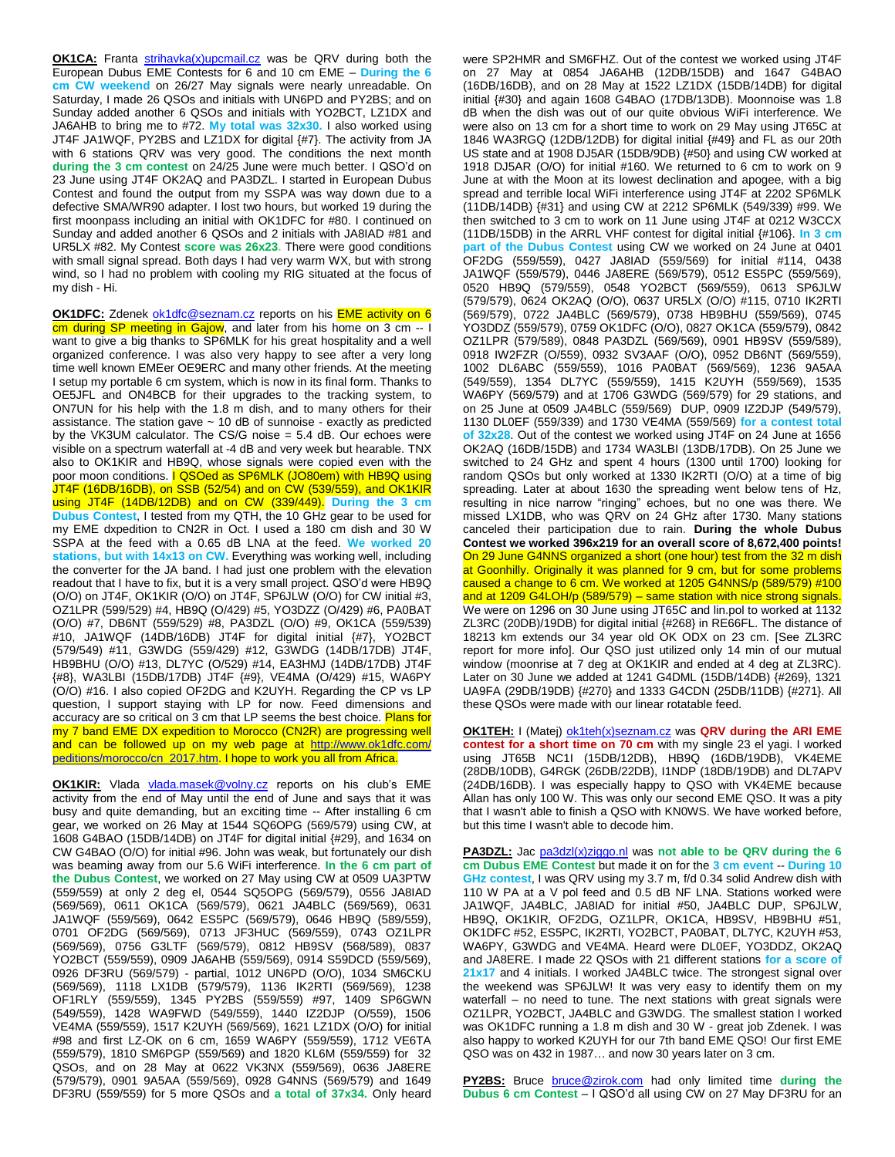**OK1CA:** Franta [strihavka\(x\)upcmail.cz](mailto:strihavka(x)upcmail.cz) was be QRV during both the European Dubus EME Contests for 6 and 10 cm EME – **During the 6 cm CW weekend** on 26/27 May signals were nearly unreadable. On Saturday, I made 26 QSOs and initials with UN6PD and PY2BS; and on Sunday added another 6 QSOs and initials with YO2BCT, LZ1DX and JA6AHB to bring me to #72. **My total was 32x30.** I also worked using JT4F JA1WQF, PY2BS and LZ1DX for digital {#7}. The activity from JA with 6 stations QRV was very good. The conditions the next month **during the 3 cm contest** on 24/25 June were much better. I QSO'd on 23 June using JT4F OK2AQ and PA3DZL. I started in European Dubus Contest and found the output from my SSPA was way down due to a defective SMA/WR90 adapter. I lost two hours, but worked 19 during the first moonpass including an initial with OK1DFC for #80. I continued on Sunday and added another 6 QSOs and 2 initials with JA8IAD #81 and UR5LX #82. My Contest **score was 26x23.** There were good conditions with small signal spread. Both days I had very warm WX, but with strong wind, so I had no problem with cooling my RIG situated at the focus of my dish - Hi.

**OK1DFC:** Zdenek [ok1dfc@seznam.cz](mailto:ok1dfc@seznam.cz) reports on his **EME** activity on 6 cm during SP meeting in Gajow, and later from his home on 3 cm -- I want to give a big thanks to SP6MLK for his great hospitality and a well organized conference. I was also very happy to see after a very long time well known EMEer OE9ERC and many other friends. At the meeting I setup my portable 6 cm system, which is now in its final form. Thanks to OE5JFL and ON4BCB for their upgrades to the tracking system, to ON7UN for his help with the 1.8 m dish, and to many others for their assistance. The station gave  $\sim$  10 dB of sunnoise - exactly as predicted by the VK3UM calculator. The CS/G noise = 5.4 dB. Our echoes were visible on a spectrum waterfall at -4 dB and very week but hearable. TNX also to OK1KIR and HB9Q, whose signals were copied even with the poor moon conditions. **I QSOed as SP6MLK (JO80em) with HB9Q using** JT4F (16DB/16DB), on SSB (52/54) and on CW (539/559), and OK1KIR using JT4F (14DB/12DB) and on CW (339/449). **During the 3 cm Dubus Contest**, I tested from my QTH, the 10 GHz gear to be used for my EME dxpedition to CN2R in Oct. I used a 180 cm dish and 30 W SSPA at the feed with a 0.65 dB LNA at the feed. **We worked 20 stations, but with 14x13 on CW.** Everything was working well, including the converter for the JA band. I had just one problem with the elevation readout that I have to fix, but it is a very small project. QSO'd were HB9Q (O/O) on JT4F, OK1KIR (O/O) on JT4F, SP6JLW (O/O) for CW initial #3, OZ1LPR (599/529) #4, HB9Q (O/429) #5, YO3DZZ (O/429) #6, PA0BAT (O/O) #7, DB6NT (559/529) #8, PA3DZL (O/O) #9, OK1CA (559/539) #10, JA1WQF (14DB/16DB) JT4F for digital initial {#7}, YO2BCT (579/549) #11, G3WDG (559/429) #12, G3WDG (14DB/17DB) JT4F, HB9BHU (O/O) #13, DL7YC (O/529) #14, EA3HMJ (14DB/17DB) JT4F {#8}, WA3LBI (15DB/17DB) JT4F {#9}, VE4MA (O/429) #15, WA6PY (O/O) #16. I also copied OF2DG and K2UYH. Regarding the CP vs LP question, I support staying with LP for now. Feed dimensions and accuracy are so critical on 3 cm that LP seems the best choice. Plans for my 7 band EME DX expedition to Morocco (CN2R) are progressing well and can be followed up on my web page at [http://www.ok1dfc.com/](http://www.ok1dfc.com/%20peditions/morocco/cn_2017.htm)  [peditions/morocco/cn\\_2017.htm.](http://www.ok1dfc.com/%20peditions/morocco/cn_2017.htm) I hope to work you all from Africa.

**OK1KIR:** Vlada [vlada.masek@volny.cz](mailto:vlada.masek@volny.cz) reports on his club's EME activity from the end of May until the end of June and says that it was busy and quite demanding, but an exciting time -- After installing 6 cm gear, we worked on 26 May at 1544 SQ6OPG (569/579) using CW, at 1608 G4BAO (15DB/14DB) on JT4F for digital initial {#29}, and 1634 on CW G4BAO (O/O) for initial #96. John was weak, but fortunately our dish was beaming away from our 5.6 WiFi interference. **In the 6 cm part of the Dubus Contest**, we worked on 27 May using CW at 0509 UA3PTW (559/559) at only 2 deg el, 0544 SQ5OPG (569/579), 0556 JA8IAD (569/569), 0611 OK1CA (569/579), 0621 JA4BLC (569/569), 0631 JA1WQF (559/569), 0642 ES5PC (569/579), 0646 HB9Q (589/559), 0701 OF2DG (569/569), 0713 JF3HUC (569/559), 0743 OZ1LPR (569/569), 0756 G3LTF (569/579), 0812 HB9SV (568/589), 0837 YO2BCT (559/559), 0909 JA6AHB (559/569), 0914 S59DCD (559/569), 0926 DF3RU (569/579) - partial, 1012 UN6PD (O/O), 1034 SM6CKU (569/569), 1118 LX1DB (579/579), 1136 IK2RTI (569/569), 1238 OF1RLY (559/559), 1345 PY2BS (559/559) #97, 1409 SP6GWN (549/559), 1428 WA9FWD (549/559), 1440 IZ2DJP (O/559), 1506 VE4MA (559/559), 1517 K2UYH (569/569), 1621 LZ1DX (O/O) for initial #98 and first LZ-OK on 6 cm, 1659 WA6PY (559/559), 1712 VE6TA (559/579), 1810 SM6PGP (559/569) and 1820 KL6M (559/559) for 32 QSOs, and on 28 May at 0622 VK3NX (559/569), 0636 JA8ERE (579/579), 0901 9A5AA (559/569), 0928 G4NNS (569/579) and 1649 DF3RU (559/559) for 5 more QSOs and **a total of 37x34.** Only heard

were SP2HMR and SM6FHZ. Out of the contest we worked using JT4F on 27 May at 0854 JA6AHB (12DB/15DB) and 1647 G4BAO (16DB/16DB), and on 28 May at 1522 LZ1DX (15DB/14DB) for digital initial {#30} and again 1608 G4BAO (17DB/13DB). Moonnoise was 1.8 dB when the dish was out of our quite obvious WiFi interference. We were also on 13 cm for a short time to work on 29 May using JT65C at 1846 WA3RGQ (12DB/12DB) for digital initial {#49} and FL as our 20th US state and at 1908 DJ5AR (15DB/9DB) {#50} and using CW worked at 1918 DJ5AR (O/O) for initial #160. We returned to 6 cm to work on 9 June at with the Moon at its lowest declination and apogee, with a big spread and terrible local WiFi interference using JT4F at 2202 SP6MLK (11DB/14DB) {#31} and using CW at 2212 SP6MLK (549/339) #99. We then switched to 3 cm to work on 11 June using JT4F at 0212 W3CCX (11DB/15DB) in the ARRL VHF contest for digital initial {#106}. **In 3 cm part of the Dubus Contest** using CW we worked on 24 June at 0401 OF2DG (559/559), 0427 JA8IAD (559/569) for initial #114, 0438 JA1WQF (559/579), 0446 JA8ERE (569/579), 0512 ES5PC (559/569), 0520 HB9Q (579/559), 0548 YO2BCT (569/559), 0613 SP6JLW (579/579), 0624 OK2AQ (O/O), 0637 UR5LX (O/O) #115, 0710 IK2RTI (569/579), 0722 JA4BLC (569/579), 0738 HB9BHU (559/569), 0745 YO3DDZ (559/579), 0759 OK1DFC (O/O), 0827 OK1CA (559/579), 0842 OZ1LPR (579/589), 0848 PA3DZL (569/569), 0901 HB9SV (559/589), 0918 IW2FZR (O/559), 0932 SV3AAF (O/O), 0952 DB6NT (569/559), 1002 DL6ABC (559/559), 1016 PA0BAT (569/569), 1236 9A5AA (549/559), 1354 DL7YC (559/559), 1415 K2UYH (559/569), 1535 WA6PY (569/579) and at 1706 G3WDG (569/579) for 29 stations, and on 25 June at 0509 JA4BLC (559/569) DUP, 0909 IZ2DJP (549/579), 1130 DL0EF (559/339) and 1730 VE4MA (559/569) **for a contest total of 32x28**. Out of the contest we worked using JT4F on 24 June at 1656 OK2AQ (16DB/15DB) and 1734 WA3LBI (13DB/17DB). On 25 June we switched to 24 GHz and spent 4 hours (1300 until 1700) looking for random QSOs but only worked at 1330 IK2RTI (O/O) at a time of big spreading. Later at about 1630 the spreading went below tens of Hz, resulting in nice narrow "ringing" echoes, but no one was there. We missed LX1DB, who was QRV on 24 GHz after 1730. Many stations canceled their participation due to rain. **During the whole Dubus Contest we worked 396x219 for an overall score of 8,672,400 points!** On 29 June G4NNS organized a short (one hour) test from the 32 m dish at Goonhilly. Originally it was planned for 9 cm, but for some problems caused a change to 6 cm. We worked at 1205 G4NNS/p (589/579) #100 and at 1209 G4LOH/p (589/579) – same station with nice strong signals. We were on 1296 on 30 June using JT65C and lin.pol to worked at 1132 ZL3RC (20DB)/19DB) for digital initial {#268} in RE66FL. The distance of 18213 km extends our 34 year old OK ODX on 23 cm. [See ZL3RC report for more info]. Our QSO just utilized only 14 min of our mutual window (moonrise at 7 deg at OK1KIR and ended at 4 deg at ZL3RC). Later on 30 June we added at 1241 G4DML (15DB/14DB) {#269}, 1321 UA9FA (29DB/19DB) {#270} and 1333 G4CDN (25DB/11DB) {#271}. All these QSOs were made with our linear rotatable feed.

**OK1TEH:** I (Matej) [ok1teh\(x\)seznam.cz](mailto:ok1teh(x)seznam.cz) was QRV during the ARI EME **contest for a short time on 70 cm** with my single 23 el yagi. I worked using JT65B NC1I (15DB/12DB), HB9Q (16DB/19DB), VK4EME (28DB/10DB), G4RGK (26DB/22DB), I1NDP (18DB/19DB) and DL7APV (24DB/16DB). I was especially happy to QSO with VK4EME because Allan has only 100 W. This was only our second EME QSO. It was a pity that I wasn't able to finish a QSO with KN0WS. We have worked before, but this time I wasn't able to decode him.

**PA3DZL:** Jac [pa3dzl\(x\)ziggo.nl](mailto:pa3dzl(x)ziggo.nl) was **not able to be QRV during the 6 cm Dubus EME Contest** but made it on for the **3 cm event** -- **During 10 GHz contest**, I was QRV using my 3.7 m, f/d 0.34 solid Andrew dish with 110 W PA at a V pol feed and 0.5 dB NF LNA. Stations worked were JA1WQF, JA4BLC, JA8IAD for initial #50, JA4BLC DUP, SP6JLW, HB9Q, OK1KIR, OF2DG, OZ1LPR, OK1CA, HB9SV, HB9BHU #51, OK1DFC #52, ES5PC, IK2RTI, YO2BCT, PA0BAT, DL7YC, K2UYH #53, WA6PY, G3WDG and VE4MA. Heard were DL0EF, YO3DDZ, OK2AQ and JA8ERE. I made 22 QSOs with 21 different stations **for a score of** 21x17 and 4 initials. I worked JA4BLC twice. The strongest signal over the weekend was SP6JLW! It was very easy to identify them on my waterfall – no need to tune. The next stations with great signals were OZ1LPR, YO2BCT, JA4BLC and G3WDG. The smallest station I worked was OK1DFC running a 1.8 m dish and 30 W - great job Zdenek. I was also happy to worked K2UYH for our 7th band EME QSO! Our first EME QSO was on 432 in 1987… and now 30 years later on 3 cm.

**PY2BS:** Bruce [bruce@zirok.com](mailto:bruce@zirok.com) had only limited time **during the Dubus 6 cm Contest** – I QSO'd all using CW on 27 May DF3RU for an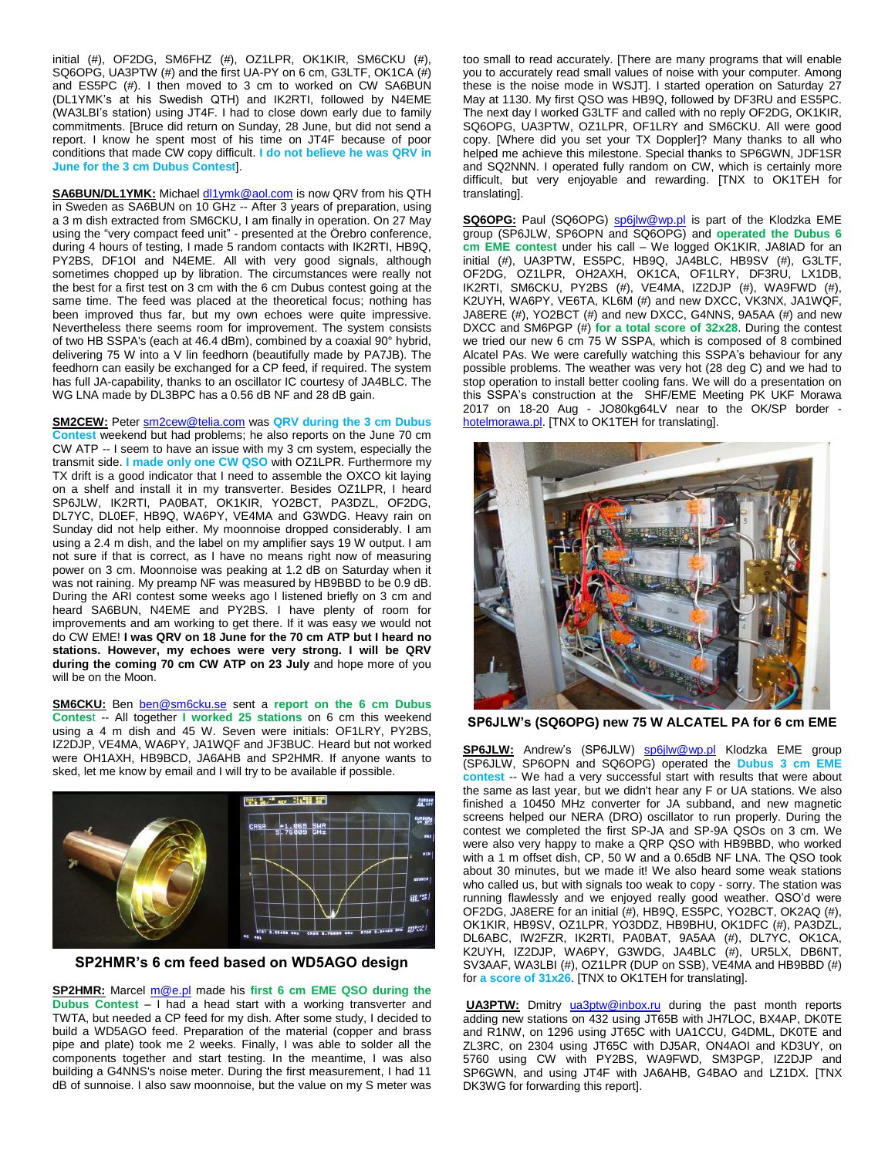initial (#), OF2DG, SM6FHZ (#), OZ1LPR, OK1KIR, SM6CKU (#), SQ6OPG, UA3PTW (#) and the first UA-PY on 6 cm, G3LTF, OK1CA (#) and ES5PC (#). I then moved to 3 cm to worked on CW SA6BUN (DL1YMK's at his Swedish QTH) and IK2RTI, followed by N4EME (WA3LBI's station) using JT4F. I had to close down early due to family commitments. [Bruce did return on Sunday, 28 June, but did not send a report. I know he spent most of his time on JT4F because of poor conditions that made CW copy difficult. **I do not believe he was QRV in June for the 3 cm Dubus Contest**].

**SA6BUN/DL1YMK:** Michael [dl1ymk@aol.com](mailto:dl1ymk@aol.com) is now QRV from his QTH in Sweden as SA6BUN on 10 GHz -- After 3 years of preparation, using a 3 m dish extracted from SM6CKU, I am finally in operation. On 27 May using the "very compact feed unit" - presented at the Örebro conference, during 4 hours of testing, I made 5 random contacts with IK2RTI, HB9Q, PY2BS, DF1OI and N4EME. All with very good signals, although sometimes chopped up by libration. The circumstances were really not the best for a first test on 3 cm with the 6 cm Dubus contest going at the same time. The feed was placed at the theoretical focus; nothing has been improved thus far, but my own echoes were quite impressive. Nevertheless there seems room for improvement. The system consists of two HB SSPA's (each at 46.4 dBm), combined by a coaxial 90° hybrid, delivering 75 W into a V lin feedhorn (beautifully made by PA7JB). The feedhorn can easily be exchanged for a CP feed, if required. The system has full JA-capability, thanks to an oscillator IC courtesy of JA4BLC. The WG LNA made by DL3BPC has a 0.56 dB NF and 28 dB gain.

**SM2CEW:** Peter [sm2cew@telia.com](mailto:sm2cew@telia.com) was **QRV during the 3 cm Dubus Contest** weekend but had problems; he also reports on the June 70 cm CW ATP -- I seem to have an issue with my 3 cm system, especially the transmit side. **I made only one CW QSO** with OZ1LPR. Furthermore my TX drift is a good indicator that I need to assemble the OXCO kit laying on a shelf and install it in my transverter. Besides OZ1LPR, I heard SP6JLW, IK2RTI, PA0BAT, OK1KIR, YO2BCT, PA3DZL, OF2DG, DL7YC, DL0EF, HB9Q, WA6PY, VE4MA and G3WDG. Heavy rain on Sunday did not help either. My moonnoise dropped considerably. I am using a 2.4 m dish, and the label on my amplifier says 19 W output. I am not sure if that is correct, as I have no means right now of measuring power on 3 cm. Moonnoise was peaking at 1.2 dB on Saturday when it was not raining. My preamp NF was measured by HB9BBD to be 0.9 dB. During the ARI contest some weeks ago I listened briefly on 3 cm and heard SA6BUN, N4EME and PY2BS. I have plenty of room for improvements and am working to get there. If it was easy we would not do CW EME! **I was QRV on 18 June for the 70 cm ATP but I heard no stations. However, my echoes were very strong. I will be QRV during the coming 70 cm CW ATP on 23 July** and hope more of you will be on the Moon.

**SM6CKU:** Ben [ben@sm6cku.se](mailto:ben@sm6cku.se) sent a **report on the 6 cm Dubus Contes**t -- All together **I worked 25 stations** on 6 cm this weekend using a 4 m dish and 45 W. Seven were initials: OF1LRY, PY2BS, IZ2DJP, VE4MA, WA6PY, JA1WQF and JF3BUC. Heard but not worked were OH1AXH, HB9BCD, JA6AHB and SP2HMR. If anyone wants to sked, let me know by email and I will try to be available if possible.



**SP2HMR's 6 cm feed based on WD5AGO design**

**SP2HMR:** Marcel [m@e.pl](mailto:m@e.pl) made his **first 6 cm EME QSO during the Dubus Contest** – I had a head start with a working transverter and TWTA, but needed a CP feed for my dish. After some study, I decided to build a WD5AGO feed. Preparation of the material (copper and brass pipe and plate) took me 2 weeks. Finally, I was able to solder all the components together and start testing. In the meantime, I was also building a G4NNS's noise meter. During the first measurement, I had 11 dB of sunnoise. I also saw moonnoise, but the value on my S meter was too small to read accurately. [There are many programs that will enable you to accurately read small values of noise with your computer. Among these is the noise mode in WSJT]. I started operation on Saturday 27 May at 1130. My first QSO was HB9Q, followed by DF3RU and ES5PC. The next day I worked G3LTF and called with no reply OF2DG, OK1KIR, SQ6OPG, UA3PTW, OZ1LPR, OF1LRY and SM6CKU. All were good copy. [Where did you set your TX Doppler]? Many thanks to all who helped me achieve this milestone. Special thanks to SP6GWN, JDF1SR and SQ2NNN. I operated fully random on CW, which is certainly more difficult, but very enjoyable and rewarding. [TNX to OK1TEH for translating].

**SQ6OPG:** Paul (SQ6OPG) [sp6jlw@wp.pl](mailto:sp6jlw@wp.pl) is part of the Klodzka EME group (SP6JLW, SP6OPN and SQ6OPG) and **operated the Dubus 6 cm EME contest** under his call – We logged OK1KIR, JA8IAD for an initial (#), UA3PTW, ES5PC, HB9Q, JA4BLC, HB9SV (#), G3LTF, OF2DG, OZ1LPR, OH2AXH, OK1CA, OF1LRY, DF3RU, LX1DB, IK2RTI, SM6CKU, PY2BS (#), VE4MA, IZ2DJP (#), WA9FWD (#), K2UYH, WA6PY, VE6TA, KL6M (#) and new DXCC, VK3NX, JA1WQF, JA8ERE (#), YO2BCT (#) and new DXCC, G4NNS, 9A5AA (#) and new DXCC and SM6PGP (#) **for a total score of 32x28**. During the contest we tried our new 6 cm 75 W SSPA, which is composed of 8 combined Alcatel PAs. We were carefully watching this SSPA's behaviour for any possible problems. The weather was very hot (28 deg C) and we had to stop operation to install better cooling fans. We will do a presentation on this SSPA's construction at the SHF/EME Meeting PK UKF Morawa 2017 on 18-20 Aug - JO80kg64LV near to the OK/SP border [hotelmorawa.pl.](http://www.hotelmorawa.pl/) [TNX to OK1TEH for translating].



**SP6JLW's (SQ6OPG) new 75 W ALCATEL PA for 6 cm EME**

**SP6JLW:** Andrew's (SP6JLW) [sp6jlw@wp.pl](mailto:sp6jlw@wp.pl) Klodzka EME group (SP6JLW, SP6OPN and SQ6OPG) operated the **Dubus 3 cm EME contest** -- We had a very successful start with results that were about the same as last year, but we didn't hear any F or UA stations. We also finished a 10450 MHz converter for JA subband, and new magnetic screens helped our NERA (DRO) oscillator to run properly. During the contest we completed the first SP-JA and SP-9A QSOs on 3 cm. We were also very happy to make a QRP QSO with HB9BBD, who worked with a 1 m offset dish, CP, 50 W and a 0.65dB NF LNA. The QSO took about 30 minutes, but we made it! We also heard some weak stations who called us, but with signals too weak to copy - sorry. The station was running flawlessly and we enjoyed really good weather. QSO'd were OF2DG, JA8ERE for an initial (#), HB9Q, ES5PC, YO2BCT, OK2AQ (#), OK1KIR, HB9SV, OZ1LPR, YO3DDZ, HB9BHU, OK1DFC (#), PA3DZL, DL6ABC, IW2FZR, IK2RTI, PA0BAT, 9A5AA (#), DL7YC, OK1CA, K2UYH, IZ2DJP, WA6PY, G3WDG, JA4BLC (#), UR5LX, DB6NT, SV3AAF, WA3LBI (#), OZ1LPR (DUP on SSB), VE4MA and HB9BBD (#) for **a score of 31x26**. [TNX to OK1TEH for translating].

**UA3PTW:** Dmitry [ua3ptw@inbox.ru](mailto:ua3ptw@inbox.ru) during the past month reports adding new stations on 432 using JT65B with JH7LOC, BX4AP, DK0TE and R1NW, on 1296 using JT65C with UA1CCU, G4DML, DK0TE and ZL3RC, on 2304 using JT65C with DJ5AR, ON4AOI and KD3UY, on 5760 using CW with PY2BS, WA9FWD, SM3PGP, IZ2DJP and SP6GWN, and using JT4F with JA6AHB, G4BAO and LZ1DX. [TNX DK3WG for forwarding this report].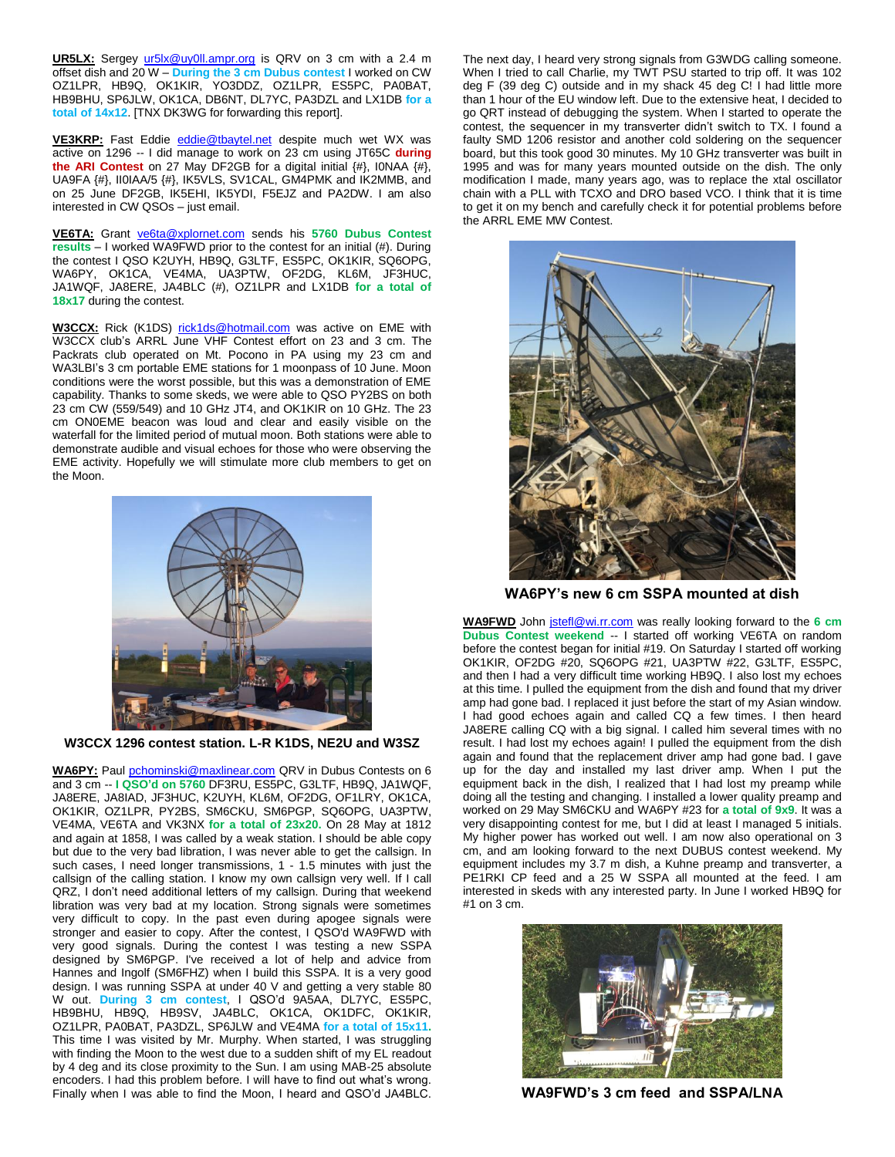**UR5LX:** Sergey [ur5lx@uy0ll.ampr.org](mailto:ur5lx@uy0ll.ampr.org) is QRV on 3 cm with a 2.4 m offset dish and 20 W – **During the 3 cm Dubus contest** I worked on CW OZ1LPR, HB9Q, OK1KIR, YO3DDZ, OZ1LPR, ES5PC, PA0BAT, HB9BHU, SP6JLW, OK1CA, DB6NT, DL7YC, PA3DZL and LX1DB **for a total of 14x12**. [TNX DK3WG for forwarding this report].

**VE3KRP:** Fast Eddie [eddie@tbaytel.net](mailto:eddie@tbaytel.net) despite much wet WX was active on 1296 -- I did manage to work on 23 cm using JT65C **during the ARI Contest** on 27 May DF2GB for a digital initial {#}, I0NAA {#}, UA9FA {#}, II0IAA/5 {#}, IK5VLS, SV1CAL, GM4PMK and IK2MMB, and on 25 June DF2GB, IK5EHI, IK5YDI, F5EJZ and PA2DW. I am also interested in CW QSOs – just email.

**VE6TA:** Grant [ve6ta@xplornet.com](mailto:ve6ta@xplornet.com) sends his **5760 Dubus Contest results** – I worked WA9FWD prior to the contest for an initial (#). During the contest I QSO K2UYH, HB9Q, G3LTF, ES5PC, OK1KIR, SQ6OPG, WA6PY, OK1CA, VE4MA, UA3PTW, OF2DG, KL6M, JF3HUC, JA1WQF, JA8ERE, JA4BLC (#), OZ1LPR and LX1DB **for a total of 18x17** during the contest.

**W3CCX:** Rick (K1DS) [rick1ds@hotmail.com](mailto:rick1ds@hotmail.com) was active on EME with W3CCX club's ARRL June VHF Contest effort on 23 and 3 cm. The Packrats club operated on Mt. Pocono in PA using my 23 cm and WA3LBI's 3 cm portable EME stations for 1 moonpass of 10 June. Moon conditions were the worst possible, but this was a demonstration of EME capability. Thanks to some skeds, we were able to QSO PY2BS on both 23 cm CW (559/549) and 10 GHz JT4, and OK1KIR on 10 GHz. The 23 cm ON0EME beacon was loud and clear and easily visible on the waterfall for the limited period of mutual moon. Both stations were able to demonstrate audible and visual echoes for those who were observing the EME activity. Hopefully we will stimulate more club members to get on the Moon.



**W3CCX 1296 contest station. L-R K1DS, NE2U and W3SZ**

**WA6PY:** Paul [pchominski@maxlinear.com](mailto:pchominski@maxlinear.com) QRV in Dubus Contests on 6 and 3 cm -- **I QSO'd on 5760** DF3RU, ES5PC, G3LTF, HB9Q, JA1WQF, JA8ERE, JA8IAD, JF3HUC, K2UYH, KL6M, OF2DG, OF1LRY, OK1CA, OK1KIR, OZ1LPR, PY2BS, SM6CKU, SM6PGP, SQ6OPG, UA3PTW, VE4MA, VE6TA and VK3NX **for a total of 23x20.** On 28 May at 1812 and again at 1858, I was called by a weak station. I should be able copy but due to the very bad libration, I was never able to get the callsign. In such cases, I need longer transmissions, 1 - 1.5 minutes with just the callsign of the calling station. I know my own callsign very well. If I call QRZ, I don't need additional letters of my callsign. During that weekend libration was very bad at my location. Strong signals were sometimes very difficult to copy. In the past even during apogee signals were stronger and easier to copy. After the contest, I QSO'd WA9FWD with very good signals. During the contest I was testing a new SSPA designed by SM6PGP. I've received a lot of help and advice from Hannes and Ingolf (SM6FHZ) when I build this SSPA. It is a very good design. I was running SSPA at under 40 V and getting a very stable 80 W out. **During 3 cm contest**, I QSO'd 9A5AA, DL7YC, ES5PC, HB9BHU, HB9Q, HB9SV, JA4BLC, OK1CA, OK1DFC, OK1KIR, OZ1LPR, PA0BAT, PA3DZL, SP6JLW and VE4MA **for a total of 15x11.** This time I was visited by Mr. Murphy. When started, I was struggling with finding the Moon to the west due to a sudden shift of my EL readout by 4 deg and its close proximity to the Sun. I am using MAB-25 absolute encoders. I had this problem before. I will have to find out what's wrong. Finally when I was able to find the Moon, I heard and QSO'd JA4BLC.

The next day, I heard very strong signals from G3WDG calling someone. When I tried to call Charlie, my TWT PSU started to trip off. It was 102 deg F (39 deg C) outside and in my shack 45 deg C! I had little more than 1 hour of the EU window left. Due to the extensive heat, I decided to go QRT instead of debugging the system. When I started to operate the contest, the sequencer in my transverter didn't switch to TX. I found a faulty SMD 1206 resistor and another cold soldering on the sequencer board, but this took good 30 minutes. My 10 GHz transverter was built in 1995 and was for many years mounted outside on the dish. The only modification I made, many years ago, was to replace the xtal oscillator chain with a PLL with TCXO and DRO based VCO. I think that it is time to get it on my bench and carefully check it for potential problems before the ARRL EME MW Contest.



**WA6PY's new 6 cm SSPA mounted at dish**

**WA9FWD** John [jstefl@wi.rr.com](mailto:jstefl@wi.rr.com) was really looking forward to the **6 cm Dubus Contest weekend** -- I started off working VE6TA on random before the contest began for initial #19. On Saturday I started off working OK1KIR, OF2DG #20, SQ6OPG #21, UA3PTW #22, G3LTF, ES5PC, and then I had a very difficult time working HB9Q. I also lost my echoes at this time. I pulled the equipment from the dish and found that my driver amp had gone bad. I replaced it just before the start of my Asian window. I had good echoes again and called CQ a few times. I then heard JA8ERE calling CQ with a big signal. I called him several times with no result. I had lost my echoes again! I pulled the equipment from the dish again and found that the replacement driver amp had gone bad. I gave up for the day and installed my last driver amp. When I put the equipment back in the dish, I realized that I had lost my preamp while doing all the testing and changing. I installed a lower quality preamp and worked on 29 May SM6CKU and WA6PY #23 for **a total of 9x9**. It was a very disappointing contest for me, but I did at least I managed 5 initials. My higher power has worked out well. I am now also operational on 3 cm, and am looking forward to the next DUBUS contest weekend. My equipment includes my 3.7 m dish, a Kuhne preamp and transverter, a PE1RKI CP feed and a 25 W SSPA all mounted at the feed. I am interested in skeds with any interested party. In June I worked HB9Q for #1 on 3 cm.



**WA9FWD's 3 cm feed and SSPA/LNA**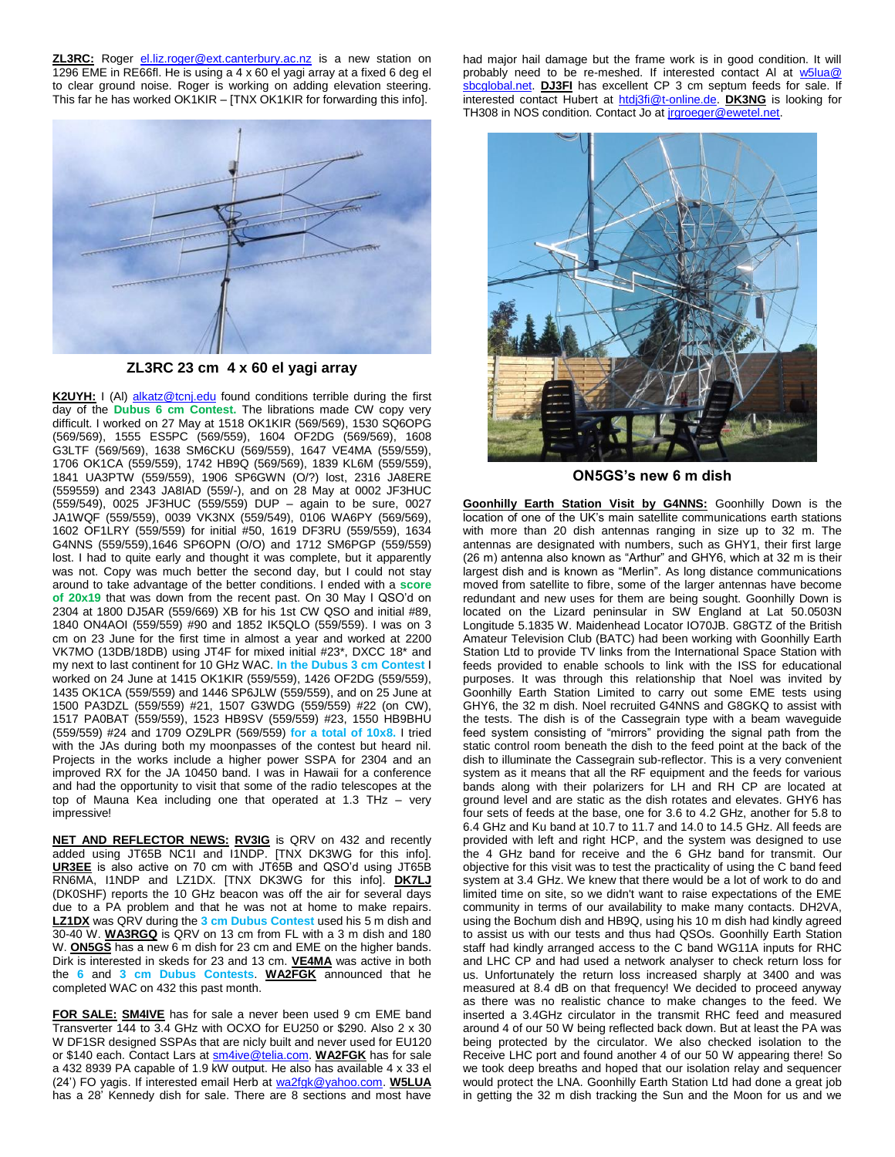**ZL3RC:** Roger [el.liz.roger@ext.canterbury.ac.nz](mailto:el.liz.roger@ext.canterbury.ac.nz) is a new station on 1296 EME in RE66fl. He is using a 4 x 60 el yagi array at a fixed 6 deg el to clear ground noise. Roger is working on adding elevation steering. This far he has worked OK1KIR – [TNX OK1KIR for forwarding this info].



**ZL3RC 23 cm 4 x 60 el yagi array**

K2UYH: I (Al) [alkatz@tcnj.edu](mailto:alkatz@tcnj.edu) found conditions terrible during the first day of the **Dubus 6 cm Contest.** The librations made CW copy very difficult. I worked on 27 May at 1518 OK1KIR (569/569), 1530 SQ6OPG (569/569), 1555 ES5PC (569/559), 1604 OF2DG (569/569), 1608 G3LTF (569/569), 1638 SM6CKU (569/559), 1647 VE4MA (559/559), 1706 OK1CA (559/559), 1742 HB9Q (569/569), 1839 KL6M (559/559), 1841 UA3PTW (559/559), 1906 SP6GWN (O/?) lost, 2316 JA8ERE (559559) and 2343 JA8IAD (559/-), and on 28 May at 0002 JF3HUC (559/549), 0025 JF3HUC (559/559) DUP – again to be sure, 0027 JA1WQF (559/559), 0039 VK3NX (559/549), 0106 WA6PY (569/569), 1602 OF1LRY (559/559) for initial #50, 1619 DF3RU (559/559), 1634 G4NNS (559/559),1646 SP6OPN (O/O) and 1712 SM6PGP (559/559) lost. I had to quite early and thought it was complete, but it apparently was not. Copy was much better the second day, but I could not stay around to take advantage of the better conditions. I ended with a **score of 20x19** that was down from the recent past. On 30 May I QSO'd on 2304 at 1800 DJ5AR (559/669) XB for his 1st CW QSO and initial #89, 1840 ON4AOI (559/559) #90 and 1852 IK5QLO (559/559). I was on 3 cm on 23 June for the first time in almost a year and worked at 2200 VK7MO (13DB/18DB) using JT4F for mixed initial #23\*, DXCC 18\* and my next to last continent for 10 GHz WAC. **In the Dubus 3 cm Contest** I worked on 24 June at 1415 OK1KIR (559/559), 1426 OF2DG (559/559), 1435 OK1CA (559/559) and 1446 SP6JLW (559/559), and on 25 June at 1500 PA3DZL (559/559) #21, 1507 G3WDG (559/559) #22 (on CW), 1517 PA0BAT (559/559), 1523 HB9SV (559/559) #23, 1550 HB9BHU (559/559) #24 and 1709 OZ9LPR (569/559) **for a total of 10x8.** I tried with the JAs during both my moonpasses of the contest but heard nil. Projects in the works include a higher power SSPA for 2304 and an improved RX for the JA 10450 band. I was in Hawaii for a conference and had the opportunity to visit that some of the radio telescopes at the top of Mauna Kea including one that operated at 1.3 THz – very impressive!

**NET AND REFLECTOR NEWS: RV3IG** is QRV on 432 and recently added using JT65B NC1I and I1NDP. [TNX DK3WG for this info]. **UR3EE** is also active on 70 cm with JT65B and QSO'd using JT65B RN6MA, I1NDP and LZ1DX. [TNX DK3WG for this info]. **DK7LJ** (DK0SHF) reports the 10 GHz beacon was off the air for several days due to a PA problem and that he was not at home to make repairs. **LZ1DX** was QRV during the **3 cm Dubus Contest** used his 5 m dish and 30-40 W. **WA3RGQ** is QRV on 13 cm from FL with a 3 m dish and 180 W. **ON5GS** has a new 6 m dish for 23 cm and EME on the higher bands. Dirk is interested in skeds for 23 and 13 cm. **VE4MA** was active in both the **6** and **3 cm Dubus Contests**. **WA2FGK** announced that he completed WAC on 432 this past month.

**FOR SALE: SM4IVE** has for sale a never been used 9 cm EME band Transverter 144 to 3.4 GHz with OCXO for EU250 or \$290. Also 2 x 30 W DF1SR designed SSPAs that are nicly built and never used for EU120 or \$140 each. Contact Lars a[t sm4ive@telia.com.](mailto:sm4ive@telia.com) **WA2FGK** has for sale a 432 8939 PA capable of 1.9 kW output. He also has available 4 x 33 el (24') FO yagis. If interested email Herb at [wa2fgk@yahoo.com.](mailto:wa2fgk@yahoo.com) **W5LUA** has a 28' Kennedy dish for sale. There are 8 sections and most have

had major hail damage but the frame work is in good condition. It will probably need to be re-meshed. If interested contact Al at [w5lua@](mailto:w5lua@sbcglobal.net) [sbcglobal.net.](mailto:w5lua@sbcglobal.net) **DJ3FI** has excellent CP 3 cm septum feeds for sale. If interested contact Hubert at [htdj3fi@t-online.de.](mailto:htdj3fi@t-online.de) **DK3NG** is looking for TH308 in NOS condition. Contact Jo at [jrgroeger@ewetel.net.](mailto:jrgroeger@ewetel.net)



**ON5GS's new 6 m dish**

**Goonhilly Earth Station Visit by G4NNS:** Goonhilly Down is the location of one of the UK's main satellite communications earth stations with more than 20 dish antennas ranging in size up to 32 m. The antennas are designated with numbers, such as GHY1, their first large (26 m) antenna also known as "Arthur" and GHY6, which at 32 m is their largest dish and is known as "Merlin". As long distance communications moved from satellite to fibre, some of the larger antennas have become redundant and new uses for them are being sought. Goonhilly Down is located on the Lizard peninsular in SW England at Lat 50.0503N Longitude 5.1835 W. Maidenhead Locator IO70JB. G8GTZ of the British Amateur Television Club (BATC) had been working with Goonhilly Earth Station Ltd to provide TV links from the International Space Station with feeds provided to enable schools to link with the ISS for educational purposes. It was through this relationship that Noel was invited by Goonhilly Earth Station Limited to carry out some EME tests using GHY6, the 32 m dish. Noel recruited G4NNS and G8GKQ to assist with the tests. The dish is of the Cassegrain type with a beam waveguide feed system consisting of "mirrors" providing the signal path from the static control room beneath the dish to the feed point at the back of the dish to illuminate the Cassegrain sub-reflector. This is a very convenient system as it means that all the RF equipment and the feeds for various bands along with their polarizers for LH and RH CP are located at ground level and are static as the dish rotates and elevates. GHY6 has four sets of feeds at the base, one for 3.6 to 4.2 GHz, another for 5.8 to 6.4 GHz and Ku band at 10.7 to 11.7 and 14.0 to 14.5 GHz. All feeds are provided with left and right HCP, and the system was designed to use the 4 GHz band for receive and the 6 GHz band for transmit. Our objective for this visit was to test the practicality of using the C band feed system at 3.4 GHz. We knew that there would be a lot of work to do and limited time on site, so we didn't want to raise expectations of the EME community in terms of our availability to make many contacts. DH2VA, using the Bochum dish and HB9Q, using his 10 m dish had kindly agreed to assist us with our tests and thus had QSOs. Goonhilly Earth Station staff had kindly arranged access to the C band WG11A inputs for RHC and LHC CP and had used a network analyser to check return loss for us. Unfortunately the return loss increased sharply at 3400 and was measured at 8.4 dB on that frequency! We decided to proceed anyway as there was no realistic chance to make changes to the feed. We inserted a 3.4GHz circulator in the transmit RHC feed and measured around 4 of our 50 W being reflected back down. But at least the PA was being protected by the circulator. We also checked isolation to the Receive LHC port and found another 4 of our 50 W appearing there! So we took deep breaths and hoped that our isolation relay and sequencer would protect the LNA. Goonhilly Earth Station Ltd had done a great job in getting the 32 m dish tracking the Sun and the Moon for us and we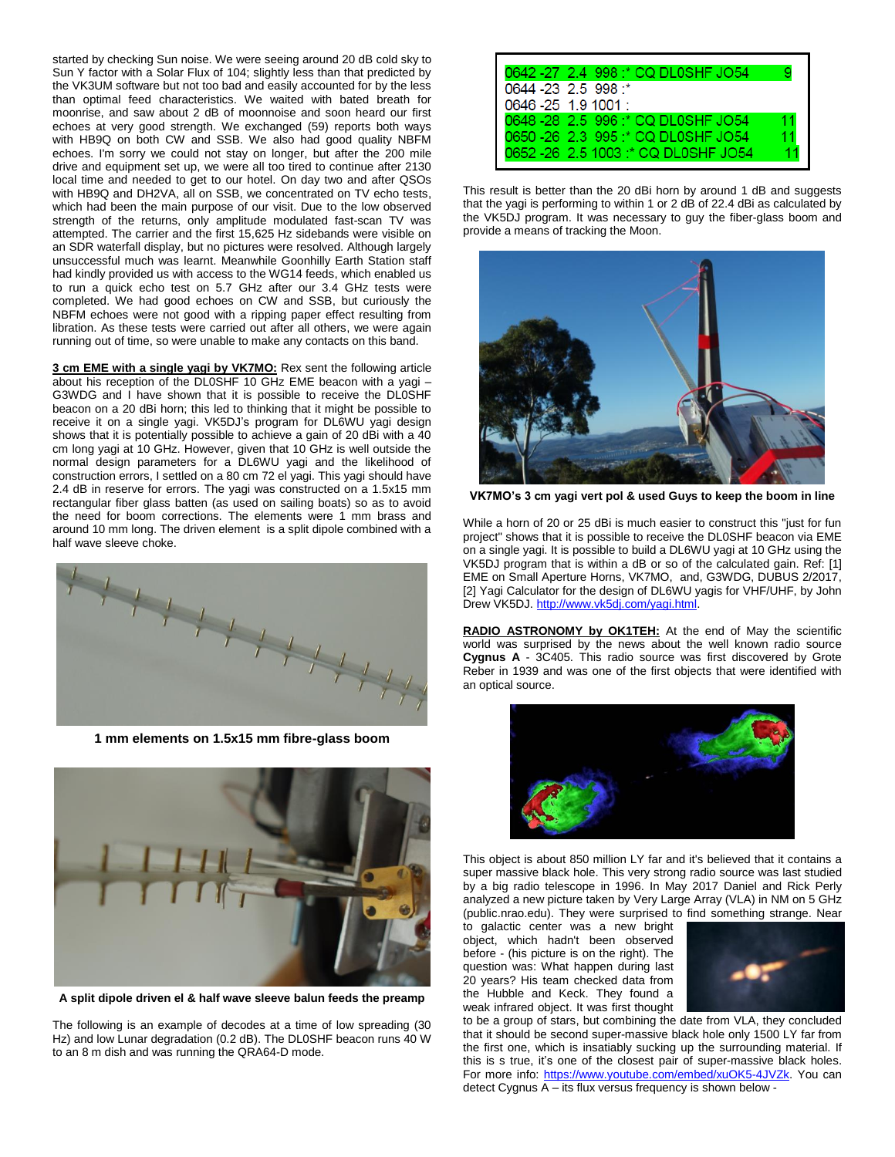started by checking Sun noise. We were seeing around 20 dB cold sky to Sun Y factor with a Solar Flux of 104; slightly less than that predicted by the VK3UM software but not too bad and easily accounted for by the less than optimal feed characteristics. We waited with bated breath for moonrise, and saw about 2 dB of moonnoise and soon heard our first echoes at very good strength. We exchanged (59) reports both ways with HB9Q on both CW and SSB. We also had good quality NBFM echoes. I'm sorry we could not stay on longer, but after the 200 mile drive and equipment set up, we were all too tired to continue after 2130 local time and needed to get to our hotel. On day two and after QSOs with HB9Q and DH2VA, all on SSB, we concentrated on TV echo tests, which had been the main purpose of our visit. Due to the low observed strength of the returns, only amplitude modulated fast-scan TV was attempted. The carrier and the first 15,625 Hz sidebands were visible on an SDR waterfall display, but no pictures were resolved. Although largely unsuccessful much was learnt. Meanwhile Goonhilly Earth Station staff had kindly provided us with access to the WG14 feeds, which enabled us to run a quick echo test on 5.7 GHz after our 3.4 GHz tests were completed. We had good echoes on CW and SSB, but curiously the NBFM echoes were not good with a ripping paper effect resulting from libration. As these tests were carried out after all others, we were again running out of time, so were unable to make any contacts on this band.

**3 cm EME with a single yagi by VK7MO:** Rex sent the following article about his reception of the DL0SHF 10 GHz EME beacon with a yagi – G3WDG and I have shown that it is possible to receive the DL0SHF beacon on a 20 dBi horn; this led to thinking that it might be possible to receive it on a single yagi. VK5DJ's program for DL6WU yagi design shows that it is potentially possible to achieve a gain of 20 dBi with a 40 cm long yagi at 10 GHz. However, given that 10 GHz is well outside the normal design parameters for a DL6WU yagi and the likelihood of construction errors, I settled on a 80 cm 72 el yagi. This yagi should have 2.4 dB in reserve for errors. The yagi was constructed on a 1.5x15 mm rectangular fiber glass batten (as used on sailing boats) so as to avoid the need for boom corrections. The elements were 1 mm brass and around 10 mm long. The driven element is a split dipole combined with a half wave sleeve choke.



**1 mm elements on 1.5x15 mm fibre-glass boom**



**A split dipole driven el & half wave sleeve balun feeds the preamp**

The following is an example of decodes at a time of low spreading (30 Hz) and low Lunar degradation (0.2 dB). The DL0SHF beacon runs 40 W to an 8 m dish and was running the QRA64-D mode.

|                      | 0642 -27 2.4 998 :* CQ DL0SHF JO54 |    |
|----------------------|------------------------------------|----|
| 0644 -23 2.5 998 *   |                                    |    |
| 0646 - 25 1.9 1001 : |                                    |    |
|                      | 0648 -28 2.5 996 :* CQ DL0SHF JO54 | 11 |
|                      | 0650-26 2.3 995 :* CQ DL0SHF JO54  |    |
|                      | 0652-26 2.5 1003:* CQ DL0SHF JO54  |    |
|                      |                                    |    |

This result is better than the 20 dBi horn by around 1 dB and suggests that the yagi is performing to within 1 or 2 dB of 22.4 dBi as calculated by the VK5DJ program. It was necessary to guy the fiber-glass boom and provide a means of tracking the Moon.



**VK7MO's 3 cm yagi vert pol & used Guys to keep the boom in line**

While a horn of 20 or 25 dBi is much easier to construct this "just for fun project" shows that it is possible to receive the DL0SHF beacon via EME on a single yagi. It is possible to build a DL6WU yagi at 10 GHz using the VK5DJ program that is within a dB or so of the calculated gain. Ref: [1] EME on Small Aperture Horns, VK7MO, and, G3WDG, DUBUS 2/2017, [2] Yagi Calculator for the design of DL6WU yagis for VHF/UHF, by John Drew VK5DJ. [http://www.vk5dj.com/yagi.html.](http://www.vk5dj.com/yagi.html)

**RADIO ASTRONOMY by OK1TEH:** At the end of May the scientific world was surprised by the news about the well known radio source **Cygnus A** - 3C405. This radio source was first discovered by Grote Reber in 1939 and was one of the first objects that were identified with an optical source.



This object is about 850 million LY far and it's believed that it contains a super massive black hole. This very strong radio source was last studied by a big radio telescope in 1996. In May 2017 Daniel and Rick Perly analyzed a new picture taken by Very Large Array (VLA) in NM on 5 GHz (public.nrao.edu). They were surprised to find something strange. Near

to galactic center was a new bright object, which hadn't been observed before - (his picture is on the right). The question was: What happen during last 20 years? His team checked data from the Hubble and Keck. They found a weak infrared object. It was first thought



to be a group of stars, but combining the date from VLA, they concluded that it should be second super-massive black hole only 1500 LY far from the first one, which is insatiably sucking up the surrounding material. If this is s true, it's one of the closest pair of super-massive black holes. For more info: [https://www.youtube.com/embed/xuOK5-4JVZk.](https://www.youtube.com/embed/xuOK5-4JVZk) You can detect Cygnus A – its flux versus frequency is shown below -